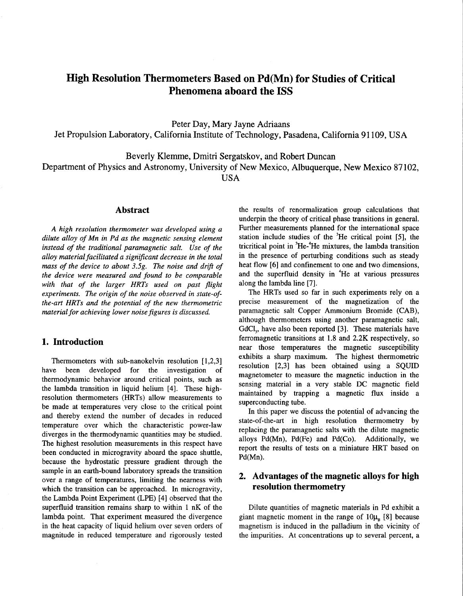# **High Resolution Thermometers Based on Pd(Mn) for Studies of Critical Phenomena aboard the ISS**

Peter Day, Mary Jayne Adriaans Jet Propulsion Laboratory, California Institute of Technology, Pasadena, California 91 109, USA

Beverly Klemme, Dmitri Sergatskov, and Robert Duncan

Department of Physics and Astronomy, University of New Mexico, Albuquerque, New Mexico 87102, USA

### **Abstract**

*A high resolution thermometer was developed using a dilute alloy of Mn in Pd as the magnetic sensing element instead of the traditional paramagnetic salt. Use of the alloy material facilitated a sigriijicant decrease in the total mass of the device to about 3.5g. The noise and drijl of the device were measured and found to be comparable with that of the larger HRTs used on past flight experiments. The origin of the noise observed in state-ofthe-art HRTs and the potential of the new thermometric material for achieving lower noise figures is discussed.* 

# **1. Introduction**

Thermometers with sub-nanokelvin resolution [1,2,3] have been developed for the investigation of thermodynamic behavior around critical points, such as the lambda transition in liquid helium [4]. These highresolution thermometers (HRTs) allow measurements to be made at temperatures very close to the critical point and thereby extend the number of decades in reduced temperature over which the characteristic power-law diverges in the thermodynamic quantities may be studied. The highest resolution measurements in this respect have been conducted in microgravity aboard the space shuttle, because the hydrostatic pressure gradient through the sample in an earth-bound laboratory spreads the transition over a range of temperatures, limiting the nearness with which the transition can be approached. In microgravity, the Lambda Point Experiment (LPE) [4] observed that the superfluid transition remains sharp to within 1 nK of the lambda point. That experiment measured the divergence in the heat capacity of liquid helium over seven orders of magnitude in reduced temperature and rigorously tested

the results of renormalization group calculations that underpin the theory of critical phase transitions in general. Further measurements planned for the international space station include studies of the <sup>3</sup>He critical point [5], the tricritical point in  ${}^{3}$ He- ${}^{4}$ He mixtures, the lambda transition in the presence of perturbing conditions such as steady heat flow [6] and confinement to one and two dimensions, and the superfluid density in <sup>4</sup>He at various pressures along the lambda line **[7].** 

The HRTs used so far in such experiments rely on a precise measurement of the magnetization of the paramagnetic salt Copper Ammonium Bromide (CAB), although thermometers using another paramagnetic salt, GdCI,, have also been reported [3]. These materials have ferromagnetic transitions at 1.8 and **2.2K** respectively, so near those temperatures the magnetic susceptibility exhibits a sharp maximum. The highest hermometric resolution **[2,3]** has been obtained using a SQUID magnetometer to measure the magnetic induction in the sensing material in a very stable DC magnetic field maintained by trapping a magnetic flux inside a superconducting tube.

In this paper we discuss the potential of advancing the state-of-the-art in high resolution thermometry by replacing the paramagnetic salts with the dilute magnetic alloys  $Pd(Mn)$ ,  $Pd(Fe)$  and  $Pd(Co)$ . Additionally, we report the results of tests on a miniature HRT based on Pd(Mn).

# **2. Advantages of the magnetic alloys for high resolution thermometry**

Dilute quantities of magnetic materials in Pd exhibit a giant magnetic moment in the range of  $10\mu$  [8] because magnetism is induced in the palladium in the vicinity of the impurities. At concentrations up to several percent, a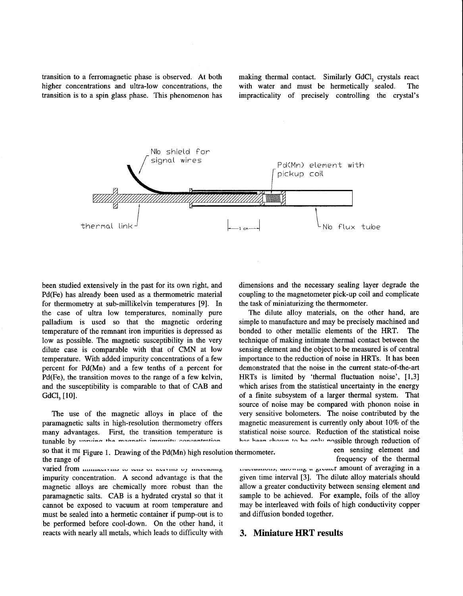transition to a ferromagnetic phase is observed. At both making thermal contact. Similarly GdC1, crystals react higher concentrations and ultra-low concentrations, the with water and must be hermetically sealed. The transition is to a spin glass phase. This phenomenon has impracticality of precisely controlling the crystal's



been studied extensively in the past for its own right, and Pd(Fe) has already been used as a thermometric material for thermometry at sub-millikelvin temperatures [9]. In the case of ultra low temperatures, nominally pure palladium is used so that the magnetic ordering temperature of the remnant iron impurities is depressed as low as possible. The magnetic susceptibility in the very dilute case is comparable with that of CMN at low temperature. With added impurity concentrations of a few percent for Pd(Mn) and a few tenths of a percent for Pd(Fe), the transition moves to the range of a few kelvin, and the susceptibility is comparable to that of CAB and GdCl<sub>2</sub> [10].

The use of the magnetic alloys in place of the paramagnetic salts in high-resolution thermometry offers many advantages. First, the transition temperature is tunable by varying the magnetic impurity concentration

so that it max Figure 1. Drawing of the Pd(Mn) high resolution thermometer. een sensing element and the range of the thermal

varied from *immediating* to the therman variative of increasing the current control increases a secure a secure and a seraging in a varied from *immediating* control of averaging in a impurity concentration. A second advantage is that the given time interval **[3].** The dilute alloy materials should magnetic alloys are chemically more robust than the allow a greater conductivity between sensing element and paramagnetic salts. CAB is a hydrated crystal so that it sample to be achieved. For example, foils of the alloy cannot be exposed to vacuum at room temperature and may be interleaved with foils of high conductivity copper must be sealed into a hermetic container if pump-out is to and diffusion bonded together. be performed before cool-down. On the other hand, it reacts with nearly all metals, which leads to difficulty with **3. Miniature HRT results** 

dimensions and the necessary sealing layer degrade the coupling to the magnetometer pick-up coil and complicate the task of miniaturizing the thermometer.

The dilute alloy materials, on the other hand, are simple to manufacture and may be precisely machined and bonded to other metallic elements of the HRT. The technique of making intimate thermal contact between the sensing element and the object to be measured is of central importance to the reduction of noise in HRTs. It has been demonstrated that the noise in the current state-of-the-art HRTs is limited by 'thermal fluctuation noise',  $[1,3]$ which arises from the statistical uncertainty in the energy of a finite subsystem of a larger thermal system. That source of noise may be compared with phonon noise in very sensitive bolometers. The noise contributed by the magnetic measurement is currently only about **10%** of the statistical noise source. Reduction of the statistical noise has been shown to be only possible through reduction of

frequency of the thermal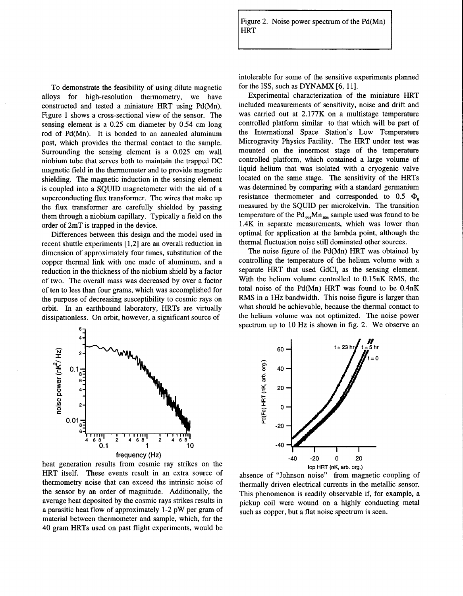Figure 2. Noise power spectrum of the  $Pd(Mn)$ **HRT** 

To demonstrate the feasibility of using dilute magnetic alloys for high-resolution thermometry, we have constructed and tested a miniature HRT using Pd(Mn). Figure 1 shows a cross-sectional view of the sensor. The sensing element is a 0.25 cm diameter by 0.54 cm long rod of Pd(Mn). It is bonded to an annealed aluminum post, which provides the thermal contact to the sample. Surrounding the sensing element is a 0.025 cm wall niobium tube that serves both to maintain the trapped DC magnetic field in the thermometer and to provide magnetic shielding. The magnetic induction in the sensing element is coupled into a SQUID magnetometer with the aid of a superconducting flux transformer. The wires that make up the flux transformer are carefully shielded by passing them through a niobium capillary. Typically a field on the order of 2mT is trapped in the device.

Differences between this design and the model used in recent shuttle experiments [ 1,2] are an overall reduction in dimension of approximately four times, substitution of the copper thermal link with one made of aluminum, and a reduction in the thickness of the niobium shield by a factor of two. The overall mass was decreased by over a factor of ten to less than four grams, which was accomplished for the purpose of decreasing susceptibility to cosmic rays on orbit. In an earthbound laboratory, HRTs are virtually dissipationless. On orbit, however, a significant source of

intolerable for some of the sensitive experiments planned for the ISS, such as DYNAMX *[6,* 111.

Experimental characterization of the miniature HRT included measurements of sensitivity, noise and drift and was carried out at 2.177K on a multistage temperature controlled platform similar to that which will be part of the International Space Station's Low Temperature Microgravity Physics Facility. The HRT under test was mounted on the innermost stage of the temperature controlled platform, which contained a large volume of liquid helium that was isolated with a cryogenic valve located on the same stage. The sensitivity of the HRTs was determined by comparing with a standard germanium resistance thermometer and corresponded to  $0.5 \Phi$ . measured by the SQUID per microkelvin. The transition temperature of the Pd<sub>994</sub>Mn<sub>006</sub> sample used was found to be 1.4K in separate measurements, which was lower than optimal for application at the lambda point, although the thermal fluctuation noise still dominated other sources.

The noise figure of the Pd(Mn) HRT was obtained by controlling the temperature of the helium volume with a separate HRT that used GdCl, as the sensing element. With the helium volume controlled to 0.15nK RMS, the total noise of the Pd(Mn) HRT was found to be 0.4nK RMS in a 1Hz bandwidth. This noise figure is larger than what should be achievable, because the thermal contact to the helium volume was not optimized. The noise power spectrum up to 10 Hz is shown in fig. 2. We observe an



heat generation results from cosmic ray strikes on the HRT itself. These events result in an extra source of thermometry noise that can exceed the intrinsic noise of the sensor by an order of magnitude. Additionally, the average heat deposited by the cosmic rays strikes results in a parasitic heat flow of approximately 1-2 pW per gram of material between thermometer and sample, which, for the 40 gram HRTs used on past flight experiments, would be



absence of "Johnson noise" from magnetic coupling of thermally driven electrical currents in the metallic sensor. This phenomenon is readily observable if, for example, a pickup coil were wound on a highly conducting metal such as copper, but a flat noise spectrum is seen.